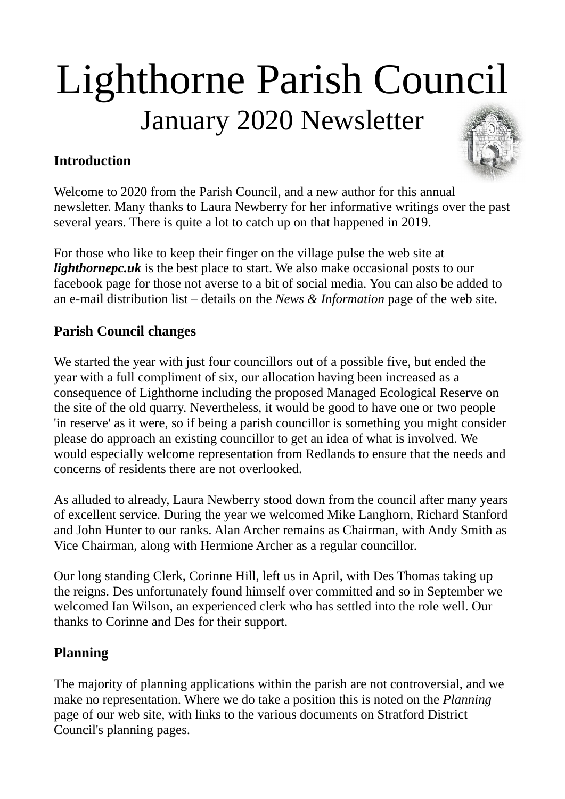# Lighthorne Parish Council January 2020 Newsletter

# **Introduction**



Welcome to 2020 from the Parish Council, and a new author for this annual newsletter. Many thanks to Laura Newberry for her informative writings over the past several years. There is quite a lot to catch up on that happened in 2019.

For those who like to keep their finger on the village pulse the web site at *[lighthornepc.uk](http://www.lighthornepc.uk/home/lighthornepc.shtml)* is the best place to start. We also make occasional posts to our facebook page for those not averse to a bit of social media. You can also be added to an e-mail distribution list – details on the *News & Information* page of the web site.

# **Parish Council changes**

We started the year with just four councillors out of a possible five, but ended the year with a full compliment of six, our allocation having been increased as a consequence of Lighthorne including the proposed Managed Ecological Reserve on the site of the old quarry. Nevertheless, it would be good to have one or two people 'in reserve' as it were, so if being a parish councillor is something you might consider please do approach an existing councillor to get an idea of what is involved. We would especially welcome representation from Redlands to ensure that the needs and concerns of residents there are not overlooked.

As alluded to already, Laura Newberry stood down from the council after many years of excellent service. During the year we welcomed Mike Langhorn, Richard Stanford and John Hunter to our ranks. Alan Archer remains as Chairman, with Andy Smith as Vice Chairman, along with Hermione Archer as a regular councillor.

Our long standing Clerk, Corinne Hill, left us in April, with Des Thomas taking up the reigns. Des unfortunately found himself over committed and so in September we welcomed Ian Wilson, an experienced clerk who has settled into the role well. Our thanks to Corinne and Des for their support.

# **Planning**

The majority of planning applications within the parish are not controversial, and we make no representation. Where we do take a position this is noted on the *Planning* page of our web site, with links to the various documents on Stratford District Council's planning pages.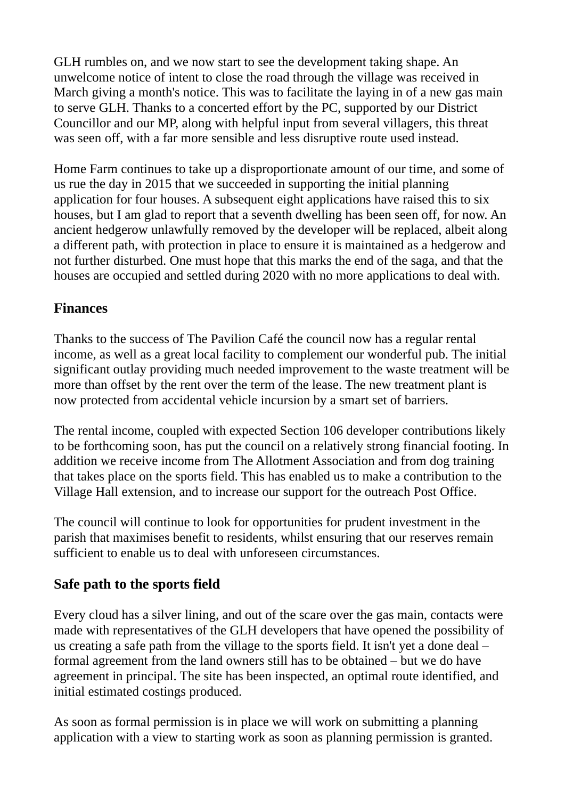GLH rumbles on, and we now start to see the development taking shape. An unwelcome notice of intent to close the road through the village was received in March giving a month's notice. This was to facilitate the laying in of a new gas main to serve GLH. Thanks to a concerted effort by the PC, supported by our District Councillor and our MP, along with helpful input from several villagers, this threat was seen off, with a far more sensible and less disruptive route used instead.

Home Farm continues to take up a disproportionate amount of our time, and some of us rue the day in 2015 that we succeeded in supporting the initial planning application for four houses. A subsequent eight applications have raised this to six houses, but I am glad to report that a seventh dwelling has been seen off, for now. An ancient hedgerow unlawfully removed by the developer will be replaced, albeit along a different path, with protection in place to ensure it is maintained as a hedgerow and not further disturbed. One must hope that this marks the end of the saga, and that the houses are occupied and settled during 2020 with no more applications to deal with.

## **Finances**

Thanks to the success of The Pavilion Café the council now has a regular rental income, as well as a great local facility to complement our wonderful pub. The initial significant outlay providing much needed improvement to the waste treatment will be more than offset by the rent over the term of the lease. The new treatment plant is now protected from accidental vehicle incursion by a smart set of barriers.

The rental income, coupled with expected Section 106 developer contributions likely to be forthcoming soon, has put the council on a relatively strong financial footing. In addition we receive income from The Allotment Association and from dog training that takes place on the sports field. This has enabled us to make a contribution to the Village Hall extension, and to increase our support for the outreach Post Office.

The council will continue to look for opportunities for prudent investment in the parish that maximises benefit to residents, whilst ensuring that our reserves remain sufficient to enable us to deal with unforeseen circumstances.

# **Safe path to the sports field**

Every cloud has a silver lining, and out of the scare over the gas main, contacts were made with representatives of the GLH developers that have opened the possibility of us creating a safe path from the village to the sports field. It isn't yet a done deal – formal agreement from the land owners still has to be obtained – but we do have agreement in principal. The site has been inspected, an optimal route identified, and initial estimated costings produced.

As soon as formal permission is in place we will work on submitting a planning application with a view to starting work as soon as planning permission is granted.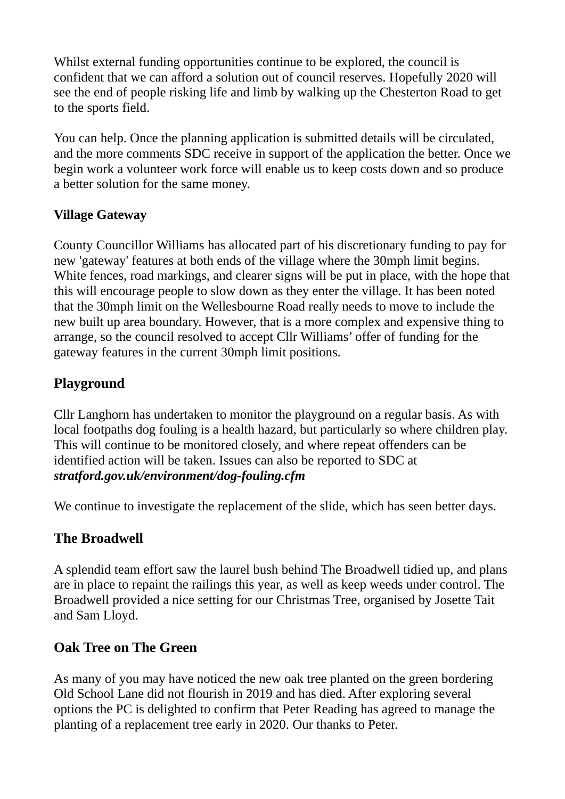Whilst external funding opportunities continue to be explored, the council is confident that we can afford a solution out of council reserves. Hopefully 2020 will see the end of people risking life and limb by walking up the Chesterton Road to get to the sports field.

You can help. Once the planning application is submitted details will be circulated, and the more comments SDC receive in support of the application the better. Once we begin work a volunteer work force will enable us to keep costs down and so produce a better solution for the same money.

## **Village Gateway**

County Councillor Williams has allocated part of his discretionary funding to pay for new 'gateway' features at both ends of the village where the 30mph limit begins. White fences, road markings, and clearer signs will be put in place, with the hope that this will encourage people to slow down as they enter the village. It has been noted that the 30mph limit on the Wellesbourne Road really needs to move to include the new built up area boundary. However, that is a more complex and expensive thing to arrange, so the council resolved to accept Cllr Williams' offer of funding for the gateway features in the current 30mph limit positions.

# **Playground**

Cllr Langhorn has undertaken to monitor the playground on a regular basis. As with local footpaths dog fouling is a health hazard, but particularly so where children play. This will continue to be monitored closely, and where repeat offenders can be identified action will be taken. Issues can also be reported to SDC at *[stratford.gov.uk/environment/dog-fouling.cfm](https://www.stratford.gov.uk/environment/dog-fouling.cfm)*

We continue to investigate the replacement of the slide, which has seen better days.

# **The Broadwell**

A splendid team effort saw the laurel bush behind The Broadwell tidied up, and plans are in place to repaint the railings this year, as well as keep weeds under control. The Broadwell provided a nice setting for our Christmas Tree, organised by Josette Tait and Sam Lloyd.

# **Oak Tree on The Green**

As many of you may have noticed the new oak tree planted on the green bordering Old School Lane did not flourish in 2019 and has died. After exploring several options the PC is delighted to confirm that Peter Reading has agreed to manage the planting of a replacement tree early in 2020. Our thanks to Peter.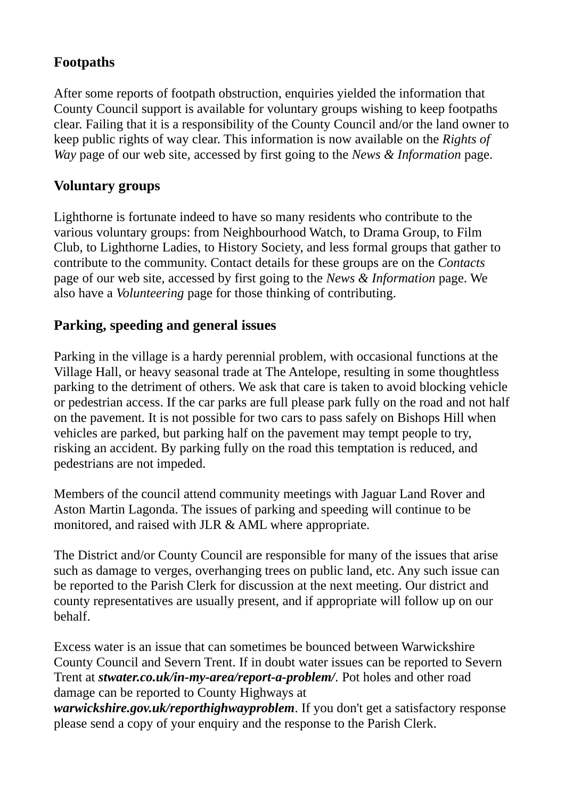## **Footpaths**

After some reports of footpath obstruction, enquiries yielded the information that County Council support is available for voluntary groups wishing to keep footpaths clear. Failing that it is a responsibility of the County Council and/or the land owner to keep public rights of way clear. This information is now available on the *Rights of Way* page of our web site, accessed by first going to the *News & Information* page.

## **Voluntary groups**

Lighthorne is fortunate indeed to have so many residents who contribute to the various voluntary groups: from Neighbourhood Watch, to Drama Group, to Film Club, to Lighthorne Ladies, to History Society, and less formal groups that gather to contribute to the community. Contact details for these groups are on the *Contacts* page of our web site, accessed by first going to the *News & Information* page. We also have a *Volunteering* page for those thinking of contributing.

## **Parking, speeding and general issues**

Parking in the village is a hardy perennial problem, with occasional functions at the Village Hall, or heavy seasonal trade at The Antelope, resulting in some thoughtless parking to the detriment of others. We ask that care is taken to avoid blocking vehicle or pedestrian access. If the car parks are full please park fully on the road and not half on the pavement. It is not possible for two cars to pass safely on Bishops Hill when vehicles are parked, but parking half on the pavement may tempt people to try, risking an accident. By parking fully on the road this temptation is reduced, and pedestrians are not impeded.

Members of the council attend community meetings with Jaguar Land Rover and Aston Martin Lagonda. The issues of parking and speeding will continue to be monitored, and raised with JLR & AML where appropriate.

The District and/or County Council are responsible for many of the issues that arise such as damage to verges, overhanging trees on public land, etc. Any such issue can be reported to the Parish Clerk for discussion at the next meeting. Our district and county representatives are usually present, and if appropriate will follow up on our behalf.

Excess water is an issue that can sometimes be bounced between Warwickshire County Council and Severn Trent. If in doubt water issues can be reported to Severn Trent at *[stwater.co.uk/in-my-area/report-a-problem/](https://www.stwater.co.uk/in-my-area/report-a-problem/).* Pot holes and other road damage can be reported to County Highways at

*[warwickshire.gov.uk/reporthighwayproblem](https://www.warwickshire.gov.uk/reporthighwayproblem)*. If you don't get a satisfactory response please send a copy of your enquiry and the response to the Parish Clerk.